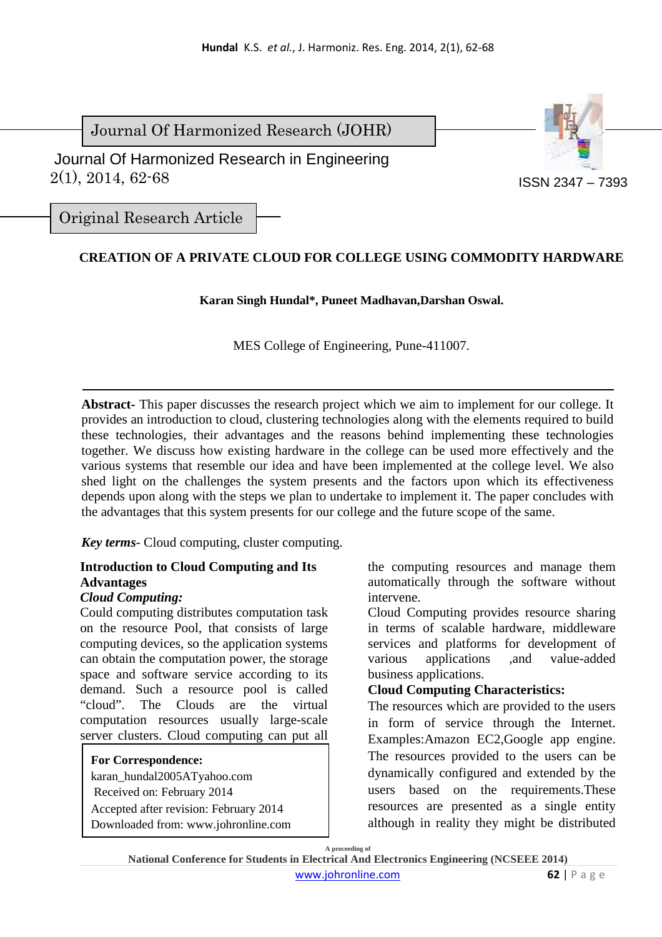Journal Of Harmonized Research (JOHR)

 $2(1), 2014, 62-68$ Journal Of Harmonized Research in Engineering



ISSN 2347 – 7393

Original Research Article

# **CREATION OF A PRIVATE CLOUD FOR COLLEGE USING COMMODITY HARDWARE**

#### **Karan Singh Hundal\*, Puneet Madhavan,Darshan Oswal.**

MES College of Engineering, Pune-411007.

**Abstract-** This paper discusses the research project which we aim to implement for our college. It provides an introduction to cloud, clustering technologies along with the elements required to build these technologies, their advantages and the reasons behind implementing these technologies together. We discuss how existing hardware in the college can be used more effectively and the various systems that resemble our idea and have been implemented at the college level. We also shed light on the challenges the system presents and the factors upon which its effectiveness depends upon along with the steps we plan to undertake to implement it. The paper concludes with the advantages that this system presents for our college and the future scope of the same.

*Key terms*- Cloud computing, cluster computing.

# **Introduction to Cloud Computing and Its Advantages**

### *Cloud Computing:*

Could computing distributes computation task on the resource Pool, that consists of large computing devices, so the application systems can obtain the computation power, the storage space and software service according to its demand. Such a resource pool is called "cloud". The Clouds are the virtual computation resources usually large-scale server clusters. Cloud computing can put all

#### **For Correspondence:**

karan\_hundal2005ATyahoo.com Received on: February 2014 Accepted after revision: February 2014 Downloaded from: www.johronline.com

the computing resources and manage them automatically through the software without intervene.

Cloud Computing provides resource sharing in terms of scalable hardware, middleware services and platforms for development of various applications ,and value-added business applications.

# **Cloud Computing Characteristics:**

The resources which are provided to the users in form of service through the Internet. Examples:Amazon EC2,Google app engine. The resources provided to the users can be dynamically configured and extended by the users based on the requirements.These resources are presented as a single entity although in reality they might be distributed

**A proceeding of**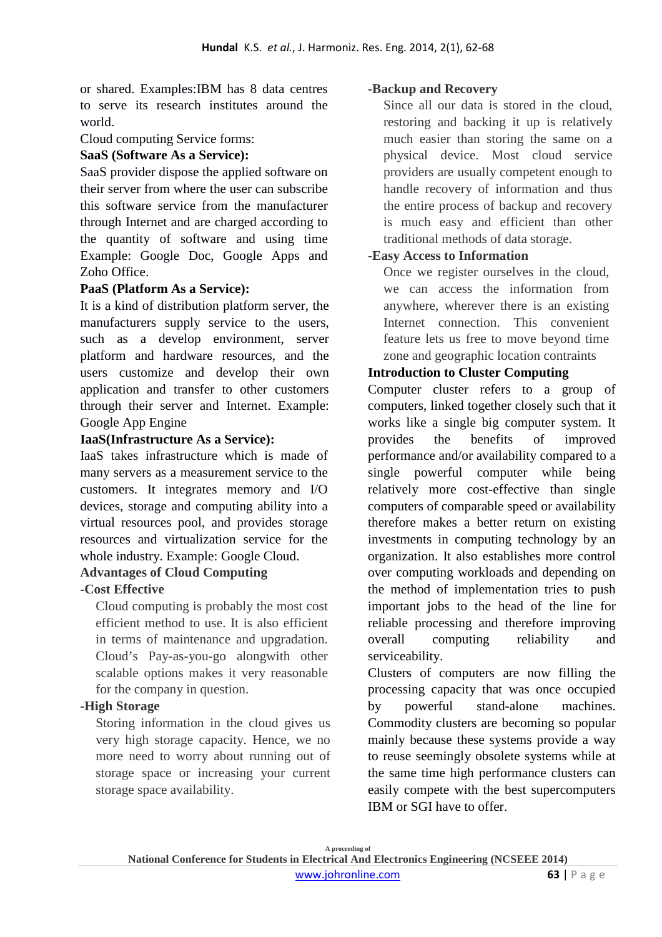or shared. Examples:IBM has 8 data centres to serve its research institutes around the world.

Cloud computing Service forms:

## **SaaS (Software As a Service):**

SaaS provider dispose the applied software on their server from where the user can subscribe this software service from the manufacturer through Internet and are charged according to the quantity of software and using time Example: Google Doc, Google Apps and Zoho Office.

# **PaaS (Platform As a Service):**

It is a kind of distribution platform server, the manufacturers supply service to the users, such as a develop environment, server platform and hardware resources, and the users customize and develop their own application and transfer to other customers through their server and Internet. Example: Google App Engine

## **IaaS(Infrastructure As a Service):**

IaaS takes infrastructure which is made of many servers as a measurement service to the customers. It integrates memory and I/O devices, storage and computing ability into a virtual resources pool, and provides storage resources and virtualization service for the whole industry. Example: Google Cloud.

### **Advantages of Cloud Computing**

### **-Cost Effective**

Cloud computing is probably the most cost efficient method to use. It is also efficient in terms of maintenance and upgradation. Cloud's Pay-as-you-go alongwith other scalable options makes it very reasonable for the company in question.

# **-High Storage**

Storing information in the cloud gives us very high storage capacity. Hence, we no more need to worry about running out of storage space or increasing your current storage space availability.

## **-Backup and Recovery**

Since all our data is stored in the cloud, restoring and backing it up is relatively much easier than storing the same on a physical device. Most cloud service providers are usually competent enough to handle recovery of information and thus the entire process of backup and recovery is much easy and efficient than other traditional methods of data storage.

### **-Easy Access to Information**

Once we register ourselves in the cloud, we can access the information from anywhere, wherever there is an existing Internet connection. This convenient feature lets us free to move beyond time zone and geographic location contraints

## **Introduction to Cluster Computing**

Computer cluster refers to a group of computers, linked together closely such that it works like a single big computer system. It provides the benefits of improved performance and/or availability compared to a single powerful computer while being relatively more cost-effective than single computers of comparable speed or availability therefore makes a better return on existing investments in computing technology by an organization. It also establishes more control over computing workloads and depending on the method of implementation tries to push important jobs to the head of the line for reliable processing and therefore improving overall computing reliability and serviceability.

Clusters of computers are now filling the processing capacity that was once occupied by powerful stand-alone machines. Commodity clusters are becoming so popular mainly because these systems provide a way to reuse seemingly obsolete systems while at the same time high performance clusters can easily compete with the best supercomputers IBM or SGI have to offer.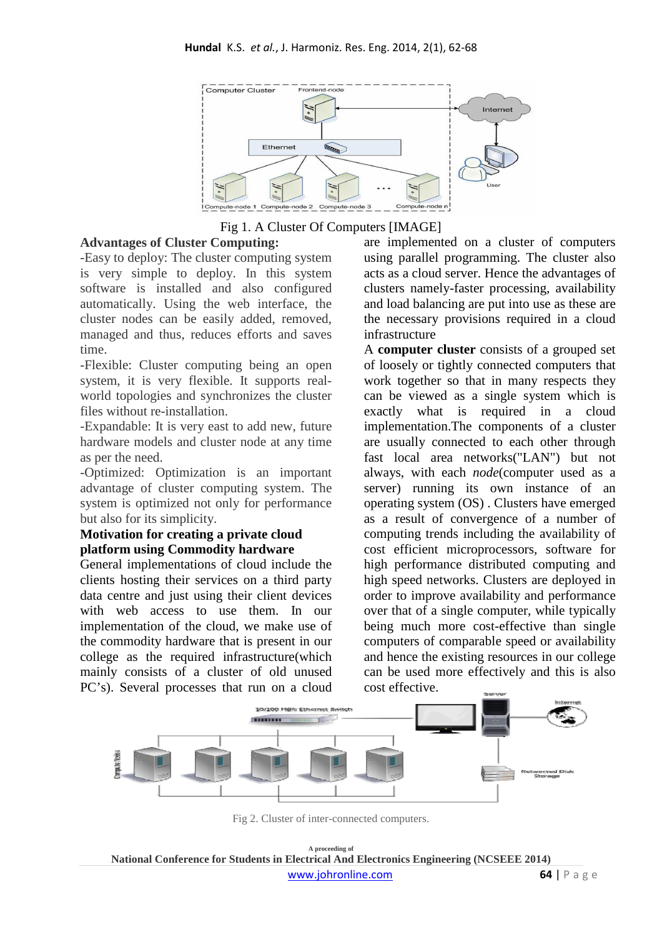

Fig 1. A Cluster Of Computers [IMAGE]

## **Advantages of Cluster Computing:**

-Easy to deploy: The cluster computing system is very simple to deploy. In this system software is installed and also configured automatically. Using the web interface, the cluster nodes can be easily added, removed, managed and thus, reduces efforts and saves time.

-Flexible: Cluster computing being an open system, it is very flexible. It supports realworld topologies and synchronizes the cluster files without re-installation.

-Expandable: It is very east to add new, future hardware models and cluster node at any time as per the need.

-Optimized: Optimization is an important advantage of cluster computing system. The system is optimized not only for performance but also for its simplicity.

#### **Motivation for creating a private cloud platform using Commodity hardware**

General implementations of cloud include the clients hosting their services on a third party data centre and just using their client devices with web access to use them. In our implementation of the cloud, we make use of the commodity hardware that is present in our college as the required infrastructure(which mainly consists of a cluster of old unused PC's). Several processes that run on a cloud

are implemented on a cluster of computers using parallel programming. The cluster also acts as a cloud server. Hence the advantages of clusters namely-faster processing, availability and load balancing are put into use as these are the necessary provisions required in a cloud infrastructure

A **computer cluster** consists of a grouped set of loosely or tightly connected computers that work together so that in many respects they can be viewed as a single system which is exactly what is required in a cloud implementation.The components of a cluster are usually connected to each other through fast local area networks("LAN") but not always, with each *node*(computer used as a server) running its own instance of an operating system (OS) . Clusters have emerged as a result of convergence of a number of computing trends including the availability of cost efficient microprocessors, software for high performance distributed computing and high speed networks. Clusters are deployed in order to improve availability and performance over that of a single computer, while typically being much more cost-effective than single computers of comparable speed or availability and hence the existing resources in our college can be used more effectively and this is also cost effective.



Fig 2. Cluster of inter-connected computers.

**A proceeding of National Conference for Students in Electrical And Electronics Engineering (NCSEEE 2014)**  www.johronline.com **64** | P a g e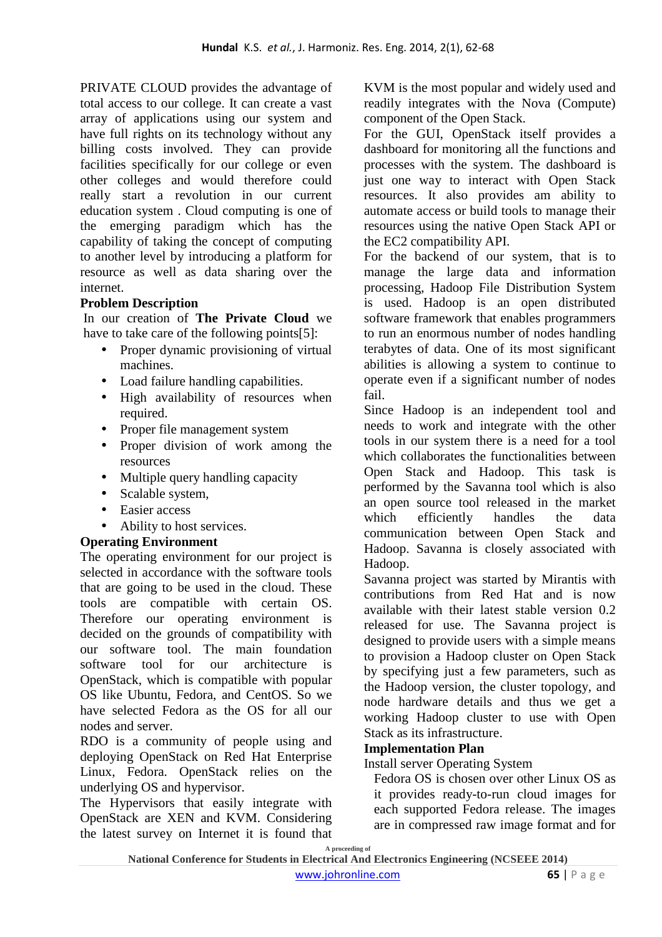PRIVATE CLOUD provides the advantage of total access to our college. It can create a vast array of applications using our system and have full rights on its technology without any billing costs involved. They can provide facilities specifically for our college or even other colleges and would therefore could really start a revolution in our current education system . Cloud computing is one of the emerging paradigm which has the capability of taking the concept of computing to another level by introducing a platform for resource as well as data sharing over the internet.

## **Problem Description**

In our creation of **The Private Cloud** we have to take care of the following points[5]:

- Proper dynamic provisioning of virtual machines.
- Load failure handling capabilities.
- High availability of resources when required.
- Proper file management system
- Proper division of work among the resources
- Multiple query handling capacity
- Scalable system,
- Easier access
- Ability to host services.

# **Operating Environment**

The operating environment for our project is selected in accordance with the software tools that are going to be used in the cloud. These tools are compatible with certain OS. Therefore our operating environment is decided on the grounds of compatibility with our software tool. The main foundation software tool for our architecture is OpenStack, which is compatible with popular OS like Ubuntu, Fedora, and CentOS. So we have selected Fedora as the OS for all our nodes and server.

RDO is a community of people using and deploying OpenStack on Red Hat Enterprise Linux, Fedora. OpenStack relies on the underlying OS and hypervisor.

The Hypervisors that easily integrate with OpenStack are XEN and KVM. Considering the latest survey on Internet it is found that

KVM is the most popular and widely used and readily integrates with the Nova (Compute) component of the Open Stack.

For the GUI, OpenStack itself provides a dashboard for monitoring all the functions and processes with the system. The dashboard is just one way to interact with Open Stack resources. It also provides am ability to automate access or build tools to manage their resources using the native Open Stack API or the EC2 compatibility API.

For the backend of our system, that is to manage the large data and information processing, Hadoop File Distribution System is used. Hadoop is an open distributed software framework that enables programmers to run an enormous number of nodes handling terabytes of data. One of its most significant abilities is allowing a system to continue to operate even if a significant number of nodes fail.

Since Hadoop is an independent tool and needs to work and integrate with the other tools in our system there is a need for a tool which collaborates the functionalities between Open Stack and Hadoop. This task is performed by the Savanna tool which is also an open source tool released in the market which efficiently handles the data communication between Open Stack and Hadoop. Savanna is closely associated with Hadoop.

Savanna project was started by Mirantis with contributions from Red Hat and is now available with their latest stable version 0.2 released for use. The Savanna project is designed to provide users with a simple means to provision a Hadoop cluster on Open Stack by specifying just a few parameters, such as the Hadoop version, the cluster topology, and node hardware details and thus we get a working Hadoop cluster to use with Open Stack as its infrastructure.

### **Implementation Plan**

#### Install server Operating System

Fedora OS is chosen over other Linux OS as it provides ready-to-run cloud images for each supported Fedora release. The images are in compressed raw image format and for

**A proceeding of**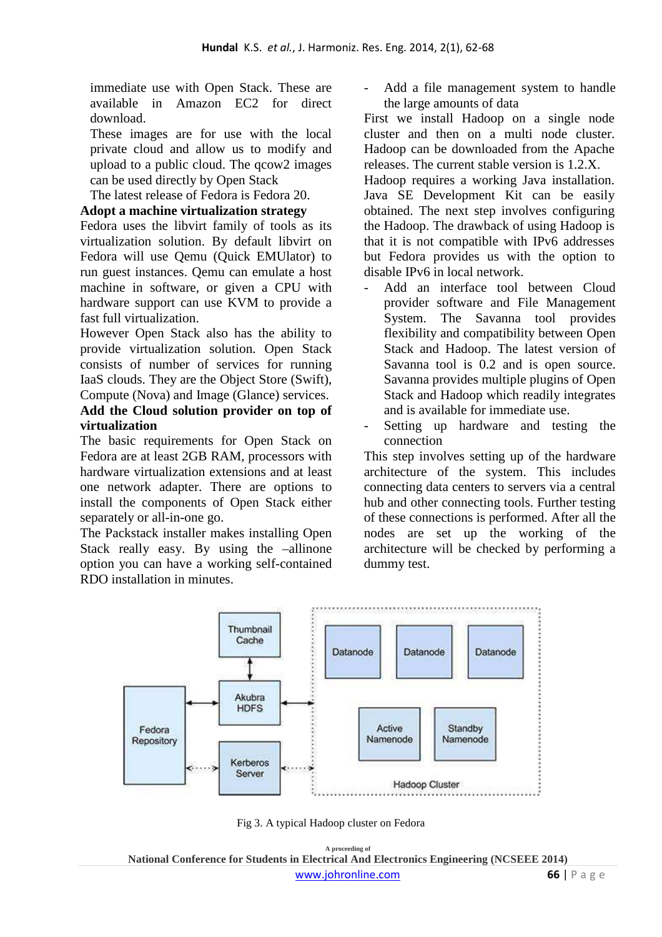immediate use with Open Stack. These are available in Amazon EC2 for direct download.

These images are for use with the local private cloud and allow us to modify and upload to a public cloud. The qcow2 images can be used directly by Open Stack

The latest release of Fedora is Fedora 20.

#### **Adopt a machine virtualization strategy**

Fedora uses the libvirt family of tools as its virtualization solution. By default libvirt on Fedora will use Qemu (Quick EMUlator) to run guest instances. Qemu can emulate a host machine in software, or given a CPU with hardware support can use KVM to provide a fast full virtualization.

However Open Stack also has the ability to provide virtualization solution. Open Stack consists of number of services for running IaaS clouds. They are the Object Store (Swift), Compute (Nova) and Image (Glance) services.

## **Add the Cloud solution provider on top of virtualization**

The basic requirements for Open Stack on Fedora are at least 2GB RAM, processors with hardware virtualization extensions and at least one network adapter. There are options to install the components of Open Stack either separately or all-in-one go.

The Packstack installer makes installing Open Stack really easy. By using the –allinone option you can have a working self-contained RDO installation in minutes.

Add a file management system to handle the large amounts of data

First we install Hadoop on a single node cluster and then on a multi node cluster. Hadoop can be downloaded from the Apache releases. The current stable version is 1.2.X.

Hadoop requires a working Java installation. Java SE Development Kit can be easily obtained. The next step involves configuring the Hadoop. The drawback of using Hadoop is that it is not compatible with IPv6 addresses but Fedora provides us with the option to disable IPv6 in local network.

- Add an interface tool between Cloud provider software and File Management System. The Savanna tool provides flexibility and compatibility between Open Stack and Hadoop. The latest version of Savanna tool is 0.2 and is open source. Savanna provides multiple plugins of Open Stack and Hadoop which readily integrates and is available for immediate use.
- Setting up hardware and testing the connection

This step involves setting up of the hardware architecture of the system. This includes connecting data centers to servers via a central hub and other connecting tools. Further testing of these connections is performed. After all the nodes are set up the working of the architecture will be checked by performing a dummy test.



Fig 3. A typical Hadoop cluster on Fedora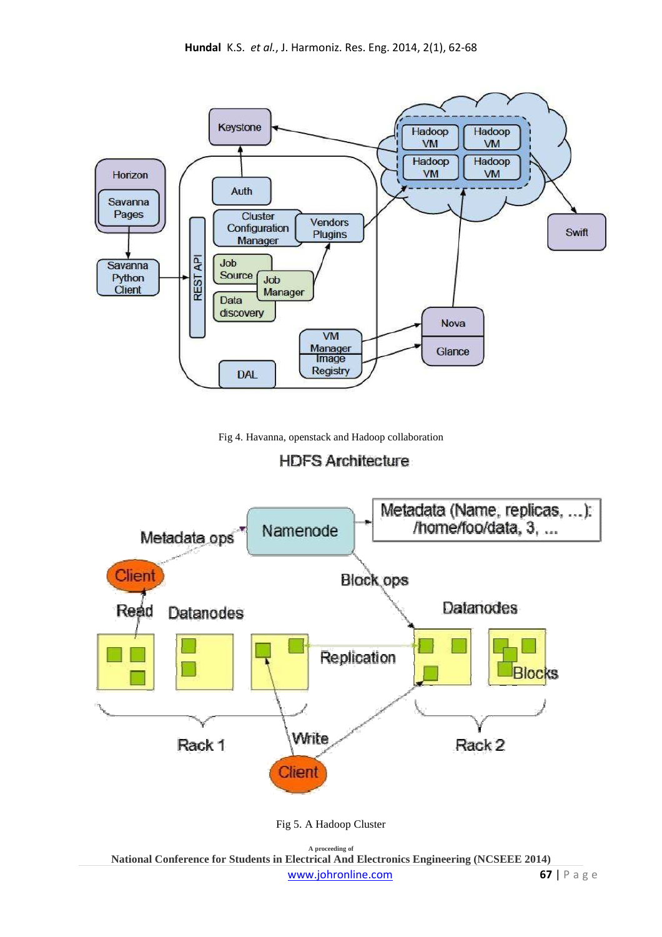

Fig 4. Havanna, openstack and Hadoop collaboration

**HDFS Architecture** 



Fig 5. A Hadoop Cluster